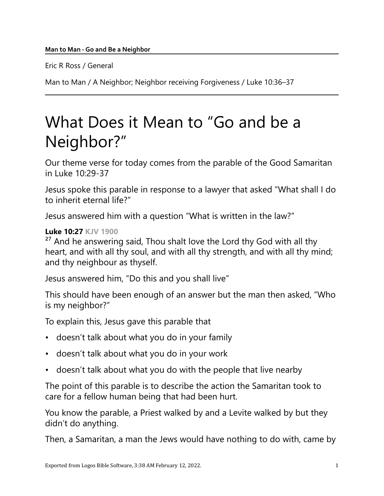Eric R Ross / General

Man to Man / A Neighbor; Neighbor receiving Forgiveness / Luke 10:36–37

# What Does it Mean to "Go and be a Neighbor?"

Our theme verse for today comes from the parable of the Good Samaritan in Luke 10:29-37

Jesus spoke this parable in response to a lawyer that asked "What shall I do to inherit eternal life?"

Jesus answered him with a question "What is written in the law?"

#### Luke 10:27 KJV 1900

 $27$  And he answering said, Thou shalt love the Lord thy God with all thy heart, and with all thy soul, and with all thy strength, and with all thy mind; and thy neighbour as thyself.

Jesus answered him, "Do this and you shall live"

This should have been enough of an answer but the man then asked, "Who is my neighbor?"

To explain this, Jesus gave this parable that

- doesn't talk about what you do in your family
- doesn't talk about what you do in your work
- doesn't talk about what you do with the people that live nearby

The point of this parable is to describe the action the Samaritan took to care for a fellow human being that had been hurt.

You know the parable, a Priest walked by and a Levite walked by but they didn't do anything.

Then, a Samaritan, a man the Jews would have nothing to do with, came by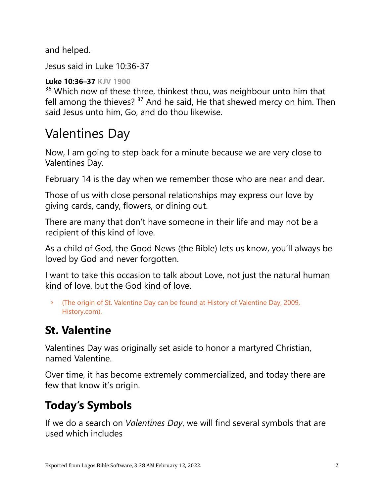and helped.

Jesus said in Luke 10:36-37

### Luke 10:36–37 KJV 1900

<sup>36</sup> Which now of these three, thinkest thou, was neighbour unto him that fell among the thieves?<sup>37</sup> And he said, He that shewed mercy on him. Then said Jesus unto him, Go, and do thou likewise.

## Valentines Day

Now, I am going to step back for a minute because we are very close to Valentines Day.

February 14 is the day when we remember those who are near and dear.

Those of us with close personal relationships may express our love by giving cards, candy, flowers, or dining out.

There are many that don't have someone in their life and may not be a recipient of this kind of love.

As a child of God, the Good News (the Bible) lets us know, you'll always be loved by God and never forgotten.

I want to take this occasion to talk about Love, not just the natural human kind of love, but the God kind of love.

› (The origin of St. Valentine Day can be found at History of Valentine Day, 2009, History.com).

## St. Valentine

Valentines Day was originally set aside to honor a martyred Christian, named Valentine.

Over time, it has become extremely commercialized, and today there are few that know it's origin.

## Today's Symbols

If we do a search on Valentines Day, we will find several symbols that are used which includes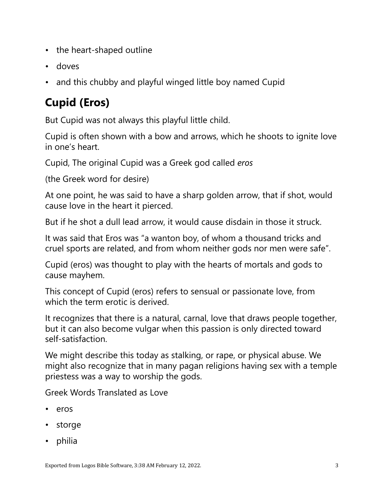- the heart-shaped outline
- doves
- and this chubby and playful winged little boy named Cupid

## Cupid (Eros)

But Cupid was not always this playful little child.

Cupid is often shown with a bow and arrows, which he shoots to ignite love in one's heart.

Cupid, The original Cupid was a Greek god called eros

(the Greek word for desire)

At one point, he was said to have a sharp golden arrow, that if shot, would cause love in the heart it pierced.

But if he shot a dull lead arrow, it would cause disdain in those it struck.

It was said that Eros was "a wanton boy, of whom a thousand tricks and cruel sports are related, and from whom neither gods nor men were safe".

Cupid (eros) was thought to play with the hearts of mortals and gods to cause mayhem.

This concept of Cupid (eros) refers to sensual or passionate love, from which the term erotic is derived.

It recognizes that there is a natural, carnal, love that draws people together, but it can also become vulgar when this passion is only directed toward self-satisfaction.

We might describe this today as stalking, or rape, or physical abuse. We might also recognize that in many pagan religions having sex with a temple priestess was a way to worship the gods.

Greek Words Translated as Love

- eros
- storge
- philia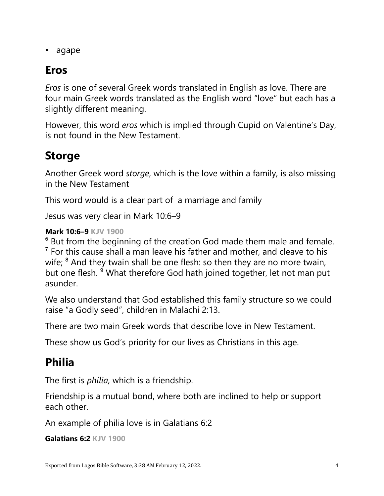• agape

### Eros

Eros is one of several Greek words translated in English as love. There are four main Greek words translated as the English word "love" but each has a slightly different meaning.

However, this word eros which is implied through Cupid on Valentine's Day, is not found in the New Testament.

### Storge

Another Greek word storge, which is the love within a family, is also missing in the New Testament

This word would is a clear part of a marriage and family

Jesus was very clear in Mark 10:6–9

#### Mark 10:6–9 KJV 1900

<sup>6</sup> But from the beginning of the creation God made them male and female.  $<sup>7</sup>$  For this cause shall a man leave his father and mother, and cleave to his</sup> wife; <sup>8</sup> And they twain shall be one flesh: so then they are no more twain, but one flesh. 9 What therefore God hath joined together, let not man put asunder.

We also understand that God established this family structure so we could raise "a Godly seed", children in Malachi 2:13.

There are two main Greek words that describe love in New Testament.

These show us God's priority for our lives as Christians in this age.

### Philia

The first is *philia*, which is a friendship.

Friendship is a mutual bond, where both are inclined to help or support each other.

An example of philia love is in Galatians 6:2

```
Galatians 6:2 KJV 1900
```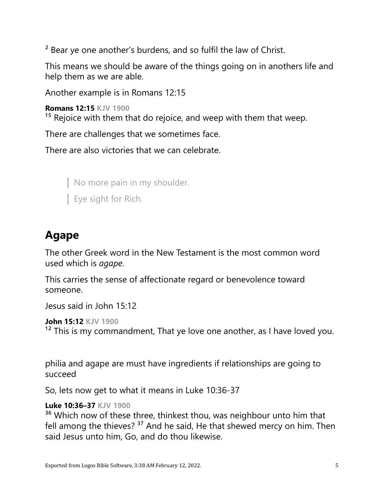$2$  Bear ye one another's burdens, and so fulfil the law of Christ.

This means we should be aware of the things going on in anothers life and help them as we are able.

Another example is in Romans 12:15

```
Romans 12:15 KJV 1900
```
 $15$  Rejoice with them that do rejoice, and weep with them that weep.

There are challenges that we sometimes face.

There are also victories that we can celebrate.

No more pain in my shoulder.

Eye sight for Rich.

### Agape

The other Greek word in the New Testament is the most common word used which is agape.

This carries the sense of affectionate regard or benevolence toward someone.

Jesus said in John 15:12

John 15:12 KJV 1900

 $12$  This is my commandment, That ye love one another, as I have loved you.

philia and agape are must have ingredients if relationships are going to succeed

So, lets now get to what it means in Luke 10:36-37

#### Luke 10:36–37 KJV 1900

<sup>36</sup> Which now of these three, thinkest thou, was neighbour unto him that fell among the thieves?<sup>37</sup> And he said, He that shewed mercy on him. Then said Jesus unto him, Go, and do thou likewise.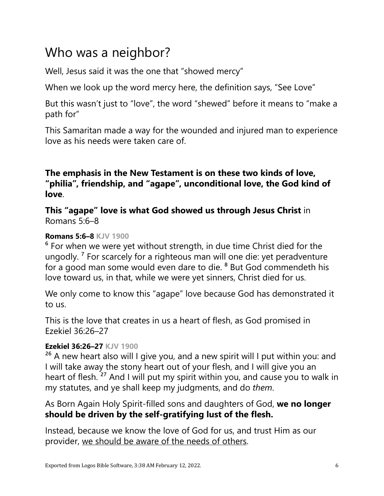## Who was a neighbor?

Well, Jesus said it was the one that "showed mercy"

When we look up the word mercy here, the definition says, "See Love"

But this wasn't just to "love", the word "shewed" before it means to "make a path for"

This Samaritan made a way for the wounded and injured man to experience love as his needs were taken care of.

### The emphasis in the New Testament is on these two kinds of love, "philia", friendship, and "agape", unconditional love, the God kind of love.

This "agape" love is what God showed us through Jesus Christ in Romans 5:6–8

### Romans 5:6–8 KJV 1900

<sup>6</sup> For when we were yet without strength, in due time Christ died for the ungodly. 7 For scarcely for a righteous man will one die: yet peradventure for a good man some would even dare to die. 8 But God commendeth his love toward us, in that, while we were yet sinners, Christ died for us.

We only come to know this "agape" love because God has demonstrated it to us.

This is the love that creates in us a heart of flesh, as God promised in Ezekiel 36:26–27

### Ezekiel 36:26–27 KJV 1900

 $26$  A new heart also will I give you, and a new spirit will I put within you: and I will take away the stony heart out of your flesh, and I will give you an heart of flesh.<sup>27</sup> And I will put my spirit within you, and cause you to walk in my statutes, and ye shall keep my judgments, and do them.

### As Born Again Holy Spirit-filled sons and daughters of God, we no longer should be driven by the self-gratifying lust of the flesh.

Instead, because we know the love of God for us, and trust Him as our provider, we should be aware of the needs of others.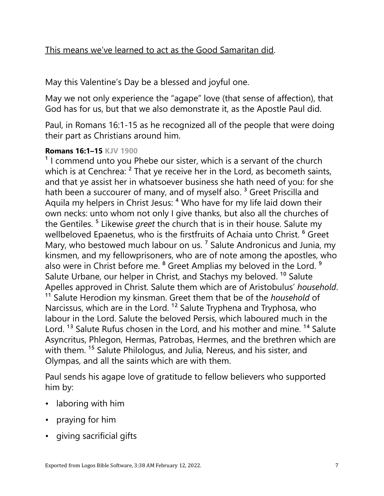### This means we've learned to act as the Good Samaritan did.

May this Valentine's Day be a blessed and joyful one.

May we not only experience the "agape" love (that sense of affection), that God has for us, but that we also demonstrate it, as the Apostle Paul did.

Paul, in Romans 16:1-15 as he recognized all of the people that were doing their part as Christians around him.

#### Romans 16:1–15 KJV 1900

 $1$  I commend unto you Phebe our sister, which is a servant of the church which is at Cenchrea: <sup>2</sup> That ye receive her in the Lord, as becometh saints, and that ye assist her in whatsoever business she hath need of you: for she hath been a succourer of many, and of myself also.<sup>3</sup> Greet Priscilla and Aquila my helpers in Christ Jesus: 4 Who have for my life laid down their own necks: unto whom not only I give thanks, but also all the churches of the Gentiles.<sup>5</sup> Likewise greet the church that is in their house. Salute my wellbeloved Epaenetus, who is the firstfruits of Achaia unto Christ. <sup>6</sup> Greet Mary, who bestowed much labour on us.  $<sup>7</sup>$  Salute Andronicus and Junia, my</sup> kinsmen, and my fellowprisoners, who are of note among the apostles, who also were in Christ before me. <sup>8</sup> Greet Amplias my beloved in the Lord. <sup>9</sup> Salute Urbane, our helper in Christ, and Stachys my beloved.<sup>10</sup> Salute Apelles approved in Christ. Salute them which are of Aristobulus' household. <sup>11</sup> Salute Herodion my kinsman. Greet them that be of the *household* of Narcissus, which are in the Lord.<sup>12</sup> Salute Tryphena and Tryphosa, who labour in the Lord. Salute the beloved Persis, which laboured much in the Lord.<sup>13</sup> Salute Rufus chosen in the Lord, and his mother and mine.<sup>14</sup> Salute Asyncritus, Phlegon, Hermas, Patrobas, Hermes, and the brethren which are with them. <sup>15</sup> Salute Philologus, and Julia, Nereus, and his sister, and Olympas, and all the saints which are with them.

Paul sends his agape love of gratitude to fellow believers who supported him by:

- laboring with him
- praying for him
- giving sacrificial gifts